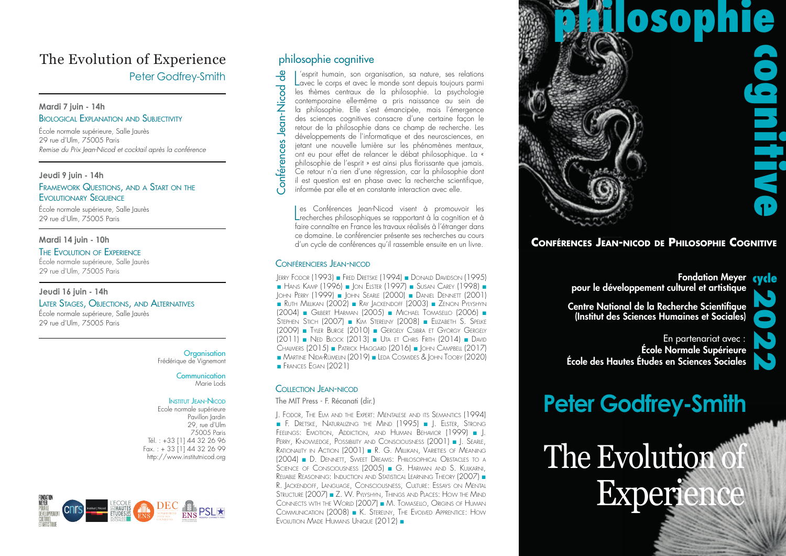## The Evolution of Experience Peter Godfrey-Smith

#### **Mardi 7 juin - 14h** Biological Explanation and Subjectivity

École normale supérieure, Salle Jaurès 29 rue d'Ulm, 75005 Paris *Remise du Prix Jean-Nicod et cocktail après la conférence*

#### **Jeudi 9 juin - 14h**

#### FRAMEWORK QUESTIONS, AND A START ON THE Evolutionary Sequence

École normale supérieure, Salle Jaurès 29 rue d'Ulm, 75005 Paris

#### **Mardi 14 juin - 10h**

#### The Evolution of Experience

École normale supérieure, Salle Jaurès 29 rue d'Ulm, 75005 Paris

#### **Jeudi 16 juin - 14h**

Later Stages, Objections, and Alternatives École normale supérieure, Salle Jaurès 29 rue d'Ulm, 75005 Paris

> **Organisation** Frédérique de Vignemont

#### **Communication** Marie Lods

#### **INSTITUT JEAN-NICOD**

Ecole normale supérieure Pavillon Jardin 29, rue d'Ulm 75005 Paris Tél. : +33 [1] 44 32 26 96 Fax.: + 33  $\left[1\right]$  44 32 26 99 http://www.institutnicod.org



### philosophie cognitive

Jean-Nicod de

**Conférences** 

 $\mathsf{Conf}$ érences Jean-Nicod de $_\mathbf{s}=\mathsf{C}$ ס ס $_\mathbf{s}$  בת $_\mathbf{s}=\mathsf{C}$ 'esprit humain, son organisation, sa nature, ses relations Lavec le corps et avec le monde sont depuis toujours parmi les thèmes centraux de la philosophie. La psychologie contemporaine elle-même a pris naissance au sein de la philosophie. Elle s'est émancipée, mais l'émergence des sciences cognitives consacre d'une certaine façon le retour de la philosophie dans ce champ de recherche. Les développements de l'informatique et des neurosciences, en jetant une nouvelle lumière sur les phénomènes mentaux, ont eu pour effet de relancer le débat philosophique. La « philosophie de l'esprit » est ainsi plus florissante que jamais. Ce retour n'a rien d'une régression, car la philosophie dont il est question est en phase avec la recherche scientifique, informée par elle et en constante interaction avec elle.

Les Conférences Jean-Nicod visent à promouvoir les<br>Lecherches philosophiques se rapportant à la cognition et à es Conférences Jean-Nicod visent à promouvoir les faire connaître en France les travaux réalisés à l'étranger dans ce domaine. Le conférencier présente ses recherches au cours d'un cycle de conférences qu'il rassemble ensuite en un livre.

#### Conférenciers Jean-nicod

Jerry Fodor (1993) ■ Fred Dretske (1994) ■ Donald Davidson (1995) ■ Hans Kamp (1996) ■ Jon Elster (1997) ■ Susan Carey (1998) ■ John Perry (1999) ■ John Searle (2000) ■ Daniel Dennett (2001) ■ Ruth Millikan (2002) ■ Ray Jackendoff (2003) ■ Zenon Pylyshyn (2004) ■ Gilbert Harman (2005) ■ Michael Tomasello (2006) ■ Stephen Stich (2007) ■ Kim Sterelny (2008) ■ Elizabeth S. Spelke (2009) ■ Tyler Burge (2010) ■ Gergely Csibra et György Gergely (2011) ■ Ned Block (2013) ■ Uta et Chris Frith (2014) ■ David Chalmers (2015) ■ Patrick Haggard (2016) ■ John Campbell (2017) ■ Martine Nida-Rümelin (2019) ■ Leda Cosmides & John Tooby (2020) ■ FRANCES EGAN (2021)

#### Collection Jean-nicod

The MIT Press - F. Récanati (dir.)

J. Fodor, The Elm and the Expert: Mentalese and its Semantics (1994) ■ F. Dretske, Naturalizing the Mind (1995) ■ J. Elster, Strong Feelings: Emotion, Addiction, and Human Behavior (1999) ■ J. Perry, Knowledge, Possibility and Consciousness (2001) ■ J. Searle, Rationality in Action (2001) ■ R. G. Millikan, Varieties of Meaning (2004) ■ D. Dennett, Sweet Dreams: Phiilosophical Obstacles to <sup>a</sup> .<br>Science of Consciousness (2005) ■ G. Harman and S. Kulkarni Reliable Reasoning: Induction and Statistical Learning Theory (2007) ■ R. Jackendoff, Language, Consciousness, Culture: Essays on Mental Structure (2007) ■ Z. W. Pylyshyn, Things and Places: How the Mind Connects wth the World (2007) ■ M. Tomasello, Origins of Human Communication (2008) ■ K. Sterelny, The Evolved Apprentice: How Evolution Made Humans Unique (2012) ■



### **Conférences Jean-nicod de Philosophie Cognitive**

Fondation Meyer cycle pour le développement culturel et artistique

Centre National de la Recherche Scientifique (Institut des Sciences Humaines et Sociales)

2022

École Normale Supérieure École des Hautes Études en Sciences Sociales En partenariat avec :

## **Peter Godfrey-Smith**

The Evolution **Experience**